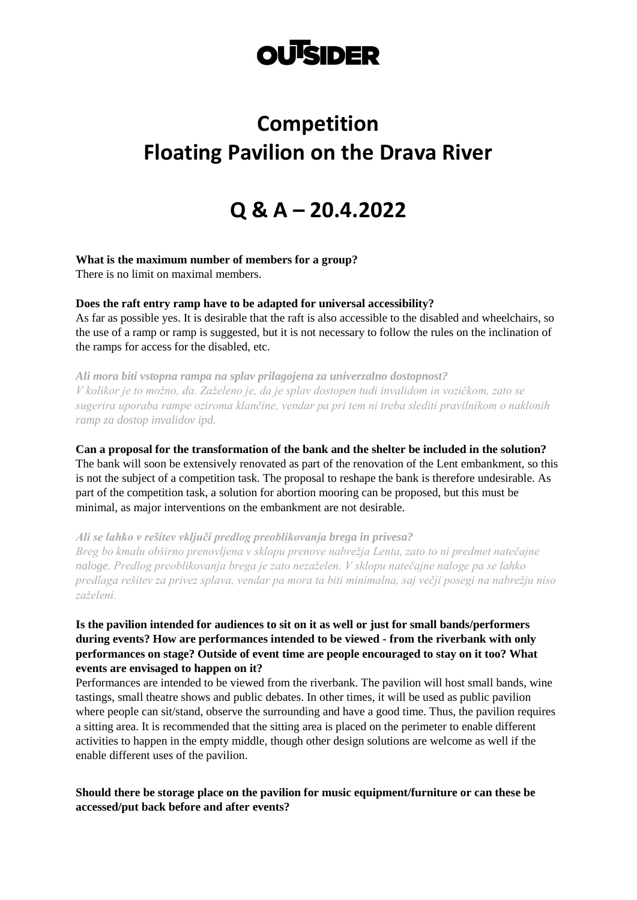# **OUTSIDER**

# **Competition Floating Pavilion on the Drava River**

# **Q & A – 20.4.2022**

#### **What is the maximum number of members for a group?**

There is no limit on maximal members.

**Does the raft entry ramp have to be adapted for universal accessibility?**

As far as possible yes. It is desirable that the raft is also accessible to the disabled and wheelchairs, so the use of a ramp or ramp is suggested, but it is not necessary to follow the rules on the inclination of the ramps for access for the disabled, etc.

*Ali mora biti vstopna rampa na splav prilagojena za univerzalno dostopnost? V kolikor je to možno, da. Zaželeno je, da je splav dostopen tudi invalidom in vozičkom, zato se sugerira uporaba rampe oziroma klančine, vendar pa pri tem ni treba slediti pravilnikom o naklonih ramp za dostop invalidov ipd.*

**Can a proposal for the transformation of the bank and the shelter be included in the solution?** The bank will soon be extensively renovated as part of the renovation of the Lent embankment, so this is not the subject of a competition task. The proposal to reshape the bank is therefore undesirable. As part of the competition task, a solution for abortion mooring can be proposed, but this must be minimal, as major interventions on the embankment are not desirable.

*Ali se lahko v rešitev vključi predlog preoblikovanja brega in privesa? Breg bo kmalu obširno prenovljena v sklopu prenove nabrežja Lenta, zato to ni predmet natečajne naloge. Predlog preoblikovanja brega je zato nezaželen. V sklopu natečajne naloge pa se lahko predlaga rešitev za privez splava, vendar pa mora ta biti minimalna, saj večji posegi na nabrežju niso zaželeni.* 

# **Is the pavilion intended for audiences to sit on it as well or just for small bands/performers during events? How are performances intended to be viewed - from the riverbank with only performances on stage? Outside of event time are people encouraged to stay on it too? What events are envisaged to happen on it?**

Performances are intended to be viewed from the riverbank. The pavilion will host small bands, wine tastings, small theatre shows and public debates. In other times, it will be used as public pavilion where people can sit/stand, observe the surrounding and have a good time. Thus, the pavilion requires a sitting area. It is recommended that the sitting area is placed on the perimeter to enable different activities to happen in the empty middle, though other design solutions are welcome as well if the enable different uses of the pavilion.

**Should there be storage place on the pavilion for music equipment/furniture or can these be accessed/put back before and after events?**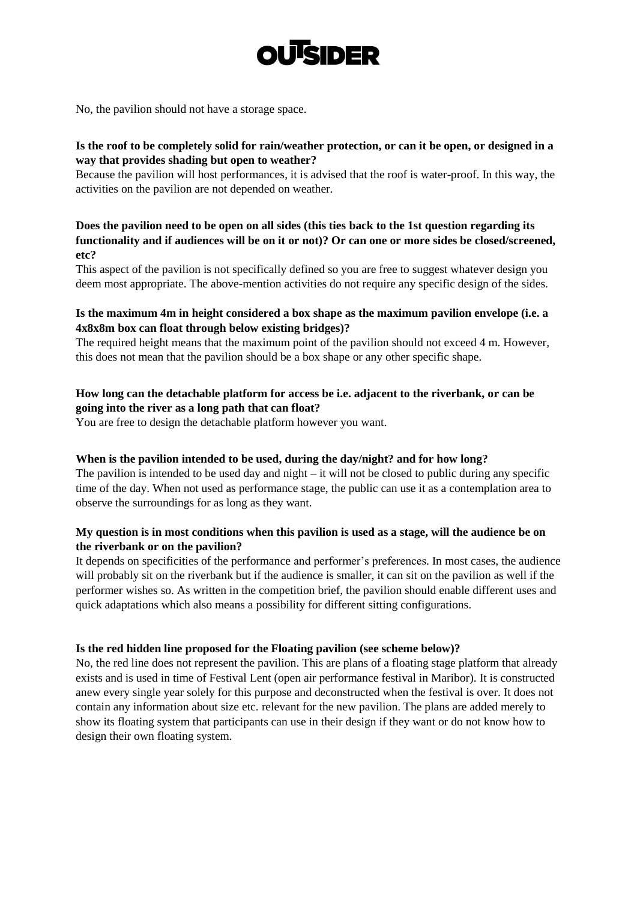

No, the pavilion should not have a storage space.

# **Is the roof to be completely solid for rain/weather protection, or can it be open, or designed in a way that provides shading but open to weather?**

Because the pavilion will host performances, it is advised that the roof is water-proof. In this way, the activities on the pavilion are not depended on weather.

# **Does the pavilion need to be open on all sides (this ties back to the 1st question regarding its functionality and if audiences will be on it or not)? Or can one or more sides be closed/screened, etc?**

This aspect of the pavilion is not specifically defined so you are free to suggest whatever design you deem most appropriate. The above-mention activities do not require any specific design of the sides.

## **Is the maximum 4m in height considered a box shape as the maximum pavilion envelope (i.e. a 4x8x8m box can float through below existing bridges)?**

The required height means that the maximum point of the pavilion should not exceed 4 m. However, this does not mean that the pavilion should be a box shape or any other specific shape.

# **How long can the detachable platform for access be i.e. adjacent to the riverbank, or can be going into the river as a long path that can float?**

You are free to design the detachable platform however you want.

## **When is the pavilion intended to be used, during the day/night? and for how long?**

The pavilion is intended to be used day and night  $-$  it will not be closed to public during any specific time of the day. When not used as performance stage, the public can use it as a contemplation area to observe the surroundings for as long as they want.

## **My question is in most conditions when this pavilion is used as a stage, will the audience be on the riverbank or on the pavilion?**

It depends on specificities of the performance and performer's preferences. In most cases, the audience will probably sit on the riverbank but if the audience is smaller, it can sit on the pavilion as well if the performer wishes so. As written in the competition brief, the pavilion should enable different uses and quick adaptations which also means a possibility for different sitting configurations.

#### **Is the red hidden line proposed for the Floating pavilion (see scheme below)?**

No, the red line does not represent the pavilion. This are plans of a floating stage platform that already exists and is used in time of Festival Lent (open air performance festival in Maribor). It is constructed anew every single year solely for this purpose and deconstructed when the festival is over. It does not contain any information about size etc. relevant for the new pavilion. The plans are added merely to show its floating system that participants can use in their design if they want or do not know how to design their own floating system.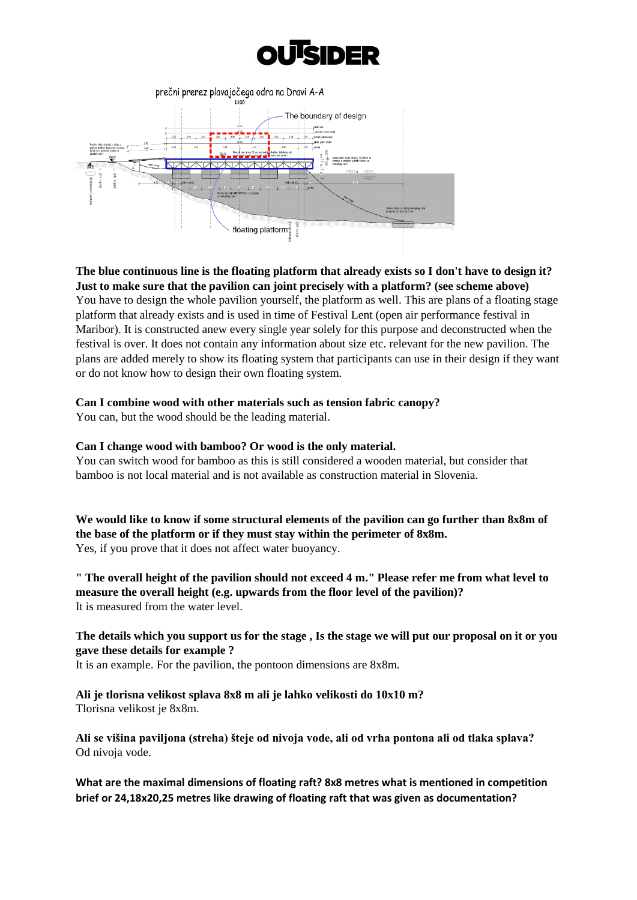



**The blue continuous line is the floating platform that already exists so I don't have to design it? Just to make sure that the pavilion can joint precisely with a platform? (see scheme above)** You have to design the whole pavilion yourself, the platform as well. This are plans of a floating stage platform that already exists and is used in time of Festival Lent (open air performance festival in Maribor). It is constructed anew every single year solely for this purpose and deconstructed when the festival is over. It does not contain any information about size etc. relevant for the new pavilion. The plans are added merely to show its floating system that participants can use in their design if they want or do not know how to design their own floating system.

#### **Can I combine wood with other materials such as tension fabric canopy?**

You can, but the wood should be the leading material.

#### **Can I change wood with bamboo? Or wood is the only material.**

You can switch wood for bamboo as this is still considered a wooden material, but consider that bamboo is not local material and is not available as construction material in Slovenia.

**We would like to know if some structural elements of the pavilion can go further than 8x8m of the base of the platform or if they must stay within the perimeter of 8x8m.** Yes, if you prove that it does not affect water buoyancy.

**" The overall height of the pavilion should not exceed 4 m." Please refer me from what level to measure the overall height (e.g. upwards from the floor level of the pavilion)?** It is measured from the water level.

#### **The details which you support us for the stage , Is the stage we will put our proposal on it or you gave these details for example ?**

It is an example. For the pavilion, the pontoon dimensions are 8x8m.

**Ali je tlorisna velikost splava 8x8 m ali je lahko velikosti do 10x10 m?** Tlorisna velikost je 8x8m.

**Ali se višina paviljona (streha) šteje od nivoja vode, ali od vrha pontona ali od tlaka splava?** Od nivoja vode.

**What are the maximal dimensions of floating raft? 8x8 metres what is mentioned in competition brief or 24,18x20,25 metres like drawing of floating raft that was given as documentation?**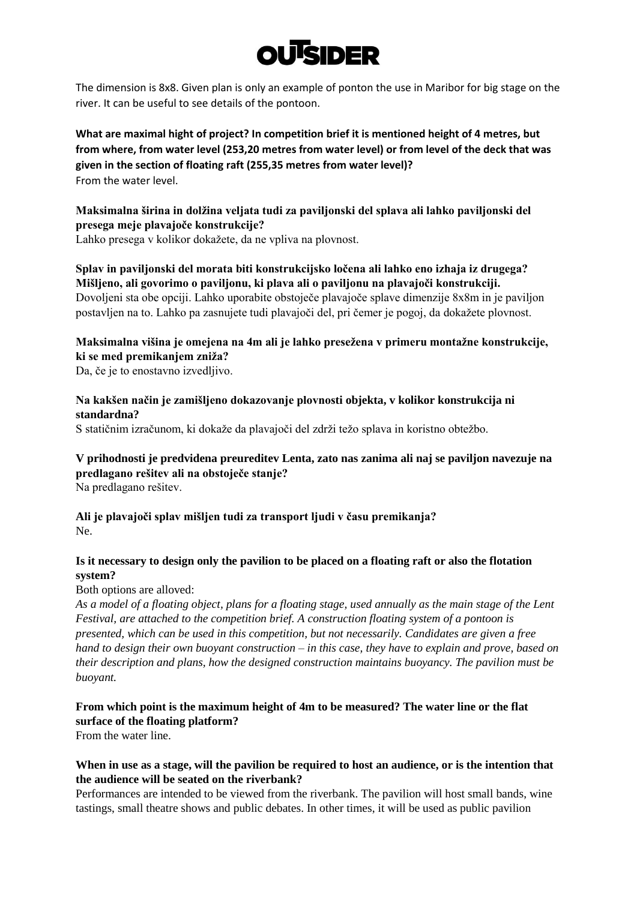# **OUISIDER**

The dimension is 8x8. Given plan is only an example of ponton the use in Maribor for big stage on the river. It can be useful to see details of the pontoon.

**What are maximal hight of project? In competition brief it is mentioned height of 4 metres, but from where, from water level (253,20 metres from water level) or from level of the deck that was given in the section of floating raft (255,35 metres from water level)?** From the water level.

# **Maksimalna širina in dolžina veljata tudi za paviljonski del splava ali lahko paviljonski del presega meje plavajoče konstrukcije?**

Lahko presega v kolikor dokažete, da ne vpliva na plovnost.

# **Splav in paviljonski del morata biti konstrukcijsko ločena ali lahko eno izhaja iz drugega? Mišljeno, ali govorimo o paviljonu, ki plava ali o paviljonu na plavajoči konstrukciji.** Dovoljeni sta obe opciji. Lahko uporabite obstoječe plavajoče splave dimenzije 8x8m in je paviljon postavljen na to. Lahko pa zasnujete tudi plavajoči del, pri čemer je pogoj, da dokažete plovnost.

# **Maksimalna višina je omejena na 4m ali je lahko presežena v primeru montažne konstrukcije, ki se med premikanjem zniža?**

Da, če je to enostavno izvedljivo.

# **Na kakšen način je zamišljeno dokazovanje plovnosti objekta, v kolikor konstrukcija ni standardna?**

S statičnim izračunom, ki dokaže da plavajoči del zdrži težo splava in koristno obtežbo.

# **V prihodnosti je predvidena preureditev Lenta, zato nas zanima ali naj se paviljon navezuje na predlagano rešitev ali na obstoječe stanje?**

Na predlagano rešitev.

# **Ali je plavajoči splav mišljen tudi za transport ljudi v času premikanja?** Ne.

# **Is it necessary to design only the pavilion to be placed on a floating raft or also the flotation system?**

Both options are alloved:

*As a model of a floating object, plans for a floating stage, used annually as the main stage of the Lent Festival, are attached to the competition brief. A construction floating system of a pontoon is presented, which can be used in this competition, but not necessarily. Candidates are given a free hand to design their own buoyant construction – in this case, they have to explain and prove, based on their description and plans, how the designed construction maintains buoyancy. The pavilion must be buoyant.*

# **From which point is the maximum height of 4m to be measured? The water line or the flat surface of the floating platform?**

From the water line.

# **When in use as a stage, will the pavilion be required to host an audience, or is the intention that the audience will be seated on the riverbank?**

Performances are intended to be viewed from the riverbank. The pavilion will host small bands, wine tastings, small theatre shows and public debates. In other times, it will be used as public pavilion